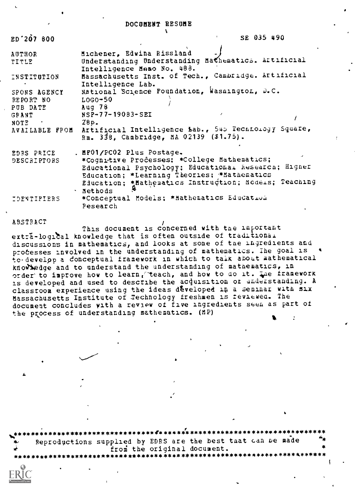DOCUMENT RESUME

| ED'207 800         | SE 035 490                                                          |
|--------------------|---------------------------------------------------------------------|
|                    |                                                                     |
| AUTHOR             | Michener, Edwina Rissland                                           |
| TITLE              | Understanding Understanding Mathematics. Artificial                 |
|                    | Intelligence Memo No. 488.                                          |
| INSTITUTION        | Massachusetts Inst. of Tech., Cambridge. Artificial                 |
|                    | Intelligence Lab.                                                   |
| SPONS AGENCY       | National Science Poundation, Wasaington, D.C.                       |
| REPORT NO          | $LOGO-50$                                                           |
| PUB DATE           | $Auq$ 78                                                            |
|                    | NSP-77-19083-SEI                                                    |
| GRANT              |                                                                     |
| NOTE TO            | 28p.                                                                |
|                    | AVAILABLE FROM Artificial Intelligence Lab., 545 Tecnnology Square, |
|                    | Rm. 338, Cambridge, MA 02139 (\$1.75).                              |
|                    |                                                                     |
| EDRS PRICE         | . MP01/PC02 Plus Postage.                                           |
| DESCRIPTORS        | *Cognitive Processes: * College Mathematics;                        |
|                    | Educational Psychology; Educational Research; Higher                |
|                    | Education; *Learning Theories; *Mathematics                         |
|                    | Education; *Mathematics Instruction; Nodels; Teaching               |
|                    | Methods                                                             |
| <b>IDENTIPIERS</b> | *Conceptual Models; *Mathematics Education                          |
|                    | Pesearch                                                            |
|                    |                                                                     |

ABSTRACT

L

This document is concerned with the important extra-logical knowledge that is often outside of traditional discussions in mathematics, and looks at some of tae ingredients and processes involved in the understanding of mathematics. The goal is to-develop a donceptuai framework in which to talk about mathematical knowhedge and to understand the understanding of mathematics, in order to improve how to learn, teach, and how to do it. The framework is developed and used to describe the acquisition of understanding. A classroom experience using the ideas developed in a seminar with six with Massachusetts Institute of .Technology freshmen is reviewed. The document concludes pith a review of five ingredients seen as part of the process of understanding mathematics. (MP)

No.\*\*\*\*\*\*\*\*\*\*\*\*\*\*\*\*\*\*\*\*\*\*\*\*\*\*\*\*\*\*\*\*f\*\*\*\*\*\*\*\*\*\*\*\*\*\*\*\*\*\*\*\*\*\*\*\*\*\*\*\*\*\*\*\*\*\*\*\*\*\* Reproductions supplied by EDRS are the best that can be made from the original document. \*\*\*\*\*\*\*\*\*\*\*\*\*\*\*\*\*\*\*\*\*\*\*\*\*\*\*\*\*\*\*\*\*\*\*\*\*\*\*\*\*\*\*\*\*\*\*\*\*\*\*\*\*\*\*\*\*\*\*\*\*\*\*\*\*\*\*\*\*\*\*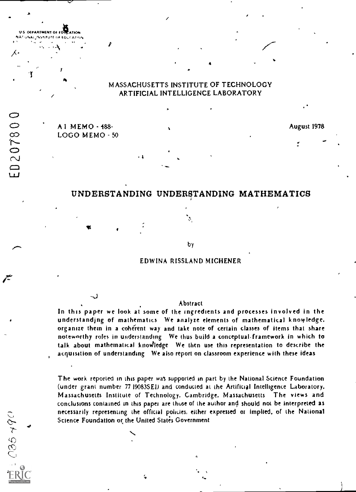### MASSACHUSETTS INSTITUTE OF TECHNOLOGY ARTIFICIAL INTELLIGENCE LABORATORY

4

A 1 MEMO - 488 O C AI MEMO-188-<br>CO COO MEMO-50<br>CO COO MEMO-50

 $\overline{C}$ 

 $\mathcal{I}$ 

U.S. OFPARTMENT OF AF NAY vhal...MStitute of e

 $\mathcal{N}^{\mathcal{C}}$  . The contract of  $\mathcal{N}^{\mathcal{C}}$ 

,

)4I

August 1978

### UNDERSTANDING UNDERSTANDING MATHEMATICS

by

### EDWINA RISSLAND MICHENER

#### Abstract

In this paper we look at some of the ingredients and processes involved in the understanding of mathematics We analyze elements of mathematical knowledge, organize them in a coherent way and take note of certain classes of items that share noteworthy roles in understanding We thus build a conceptual.framework in which to talk about mathematical knowledge. We then use this representation to describe the acquisition of understanding We also report on classroom experience with these ideas

The work reported in this paper wat supported in part by the National Science Foundation (under grant number 77 19083SE1) and conducted at the Artificial Intelligence Laboratory, Massachusetts Institute of Technology, Cambridge, Massachusetts The views and conclusions contained in this paper are thuse of the author and should not be interpreted as necessarily representing the official policies, either expressed or implied, of the National Science Foundation or the United States Government

ti

 $10844640$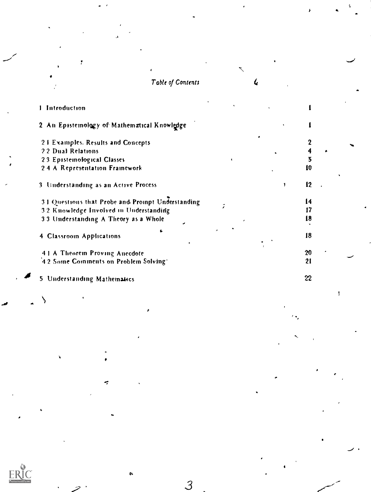| ٠<br>Introduction                                  |   |    |
|----------------------------------------------------|---|----|
| 2 An Epistemology of Mathematical Knowledge        |   |    |
| 21 Examples. Results and Concepts                  |   | 2  |
| 22 Dual Relations                                  |   | 4  |
| 23 Epistemological Classes                         |   | 5  |
| 24 A Representation Framework                      |   | 10 |
| 3 Understanding as an Active Process               | 1 | 12 |
| 3.1 Questions that Probe and Proinpt Understanding |   | 14 |
| 32 Knowledge Involved in Understanding             |   | 17 |
| 33 Understanding A Theory as a Whole               |   | 18 |
| <b>Classroom Applications</b><br>4.                |   | 18 |
| 41 A Theorem Proving Anecdote                      |   |    |
| 4.2 Some Comments on Problem Solving'              |   | 21 |
| <b>Understanding Mathematics</b><br>5.             |   | 22 |

Table of Contents

 $\overline{\mathbf{c}}$ 



tion and the second second second second second second second second second second second second second second second second second second second second second second second second second second second second second second

÷

Ł.

Ŷ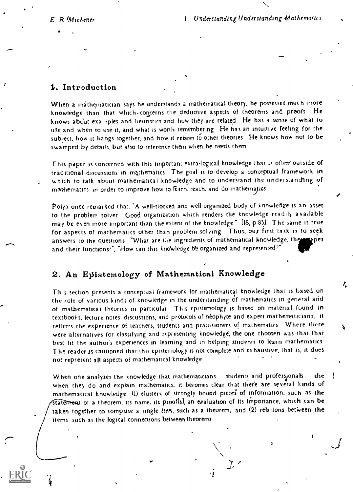N.,

e

4

I,

# I. Introduction

...

When a mathematician says he understands a mathematical theory, he possesses much more knowledge than that which concerns the deductive aspects of theorems and proofs. He knows abciut examples and heuristics and how they are related He has a sense of what to use and when to use it, and what is worth remembering He has an intuitive feeling for the subject, how it hangs together, and how it relates to other theories He knows how not to be swamped by details, but also to reference them when he needs them

This paper is concerned with this important extra-logical knowledge that is often' outside of traditional discussions in mathematics. The goal is to develop a conceptual framework in which to talk about mathematical knowledge and to understand the undei standing of mathematics in order to improve how to fearn, teach, and do mathematics

Poiya once remarked that, "A well-stocked and well-organized body of knowledge is an asset to the problem solver Good organization which renders the knowledge readily available may be even more important than the extent of the knowledge"  $[18, p \ 85]$  The same is true for aspects of mathematics other than problem solving Thus, our first task is to seek answers to the questions "What are the ingredients of mathematical knowledge, there types and their functions?", "How can this knowledge be organized and represented?"

## 2. An Epistemology of Mathematical Knowledge

M"

This section presents a conceptual framework for mathematical knowledge that is based, on the role of various kinds of knowledge in the understanding of mathematics in general and of mathematical theories in particular This epistemology is based on material found in textbooks, lecture notes, discussions, and protocols of neophyte and expert mathematicians, it reflects the experience of teachers, students and practitioners of mathematics Where there were alternatives for classifying and representing knowledge, the one choosen was that that best fit the author's experiences in learning and in helping students to learn mathematics The reader is cautioned that this epistemology is not complete and exhaustive, that is, it does not represent all aspects of mathematical knowledge -

When one analyzes the knowledge that mathematicians -- students and professionals the when they do and explain mathematics, it becomes clear that there are several kinds of mathematical knowledge (1) clusters of strongly bound plecei of information, such as the statement of a theorem, its name, its proofssl, an evaluation of its importance, which can be taken together to comprise a single *item*, such as a theorem, and (2) relations between the items such as the logical connections between theorems

 $\mathcal{I}^{\lambda}$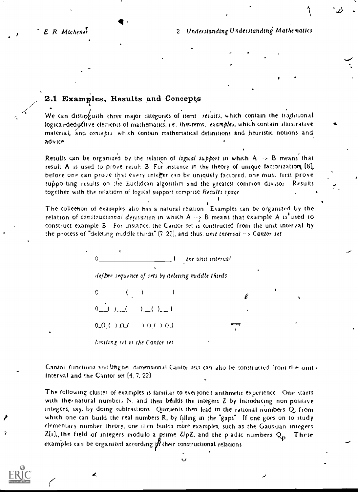$\overline{\phantom{0}}$ 

# , 2.1 Exarnyles, Results and Concepts

We can distinguish three major categories of items results, which contain the traditional logical-deductive elements of mathematics, i.e., theorems, examples, which contain illustrative material. and concepts which contain mathematical definitions and heuristic notions and advice

Results can be organized by the relation of *logical support* in which  $A \rightarrow B$  means that result A is used to prove result B For instance in the theory of unique factorization, (8), before one can prove that every integer can be uniquely factored, one must first prove supporting results on the Euclidean algorithm and the greatest common divisor Results together with the relations of logical support comprise Results space

The collection of examples also has a natural relation Examples can be organized by the relation of constructional derivation in which  $A \rightarrow B$  means that example A is used to construct example B For instance, the Cantor set is constructed from the unit interval by the process of "deleting middle thirds"  $(7, 22)$ , and thus, unit interval  $\rightarrow$  Cantor set

 $0$   $\frac{1}{\sqrt{1-\frac{1}{n}}}\int$  the unit interval

define sequence of sets by deleting middle thirds

 $0$  ( )  $1$  $0 \quad ( ) \quad ( ) \quad ( ) \quad ( )$  $0(0.1)$ ....( )....( )...() p4.

limiting set is the Cantor set

Cantor functions and lingher dimensional Cantor sets can also be constructed from the unitinterval and the Cantor set (4, 7, 22)

The following cluster of examples is familiar to everyone's arithmetic experience. One starts with the natural numbers N, and then builds the integers Z by introducing non positive integers, say. by doing subtractions Quotients then lead to the rational numbers Q, from which one can build the real numbers R, by filling in the "gaps" If one goes on to study elementary number theory, one then builds more examples, such as the Gaussian integers  $Z[i]$ , the field of integers modulo a prime ZIpZ, and the p adic numbers  $Q_p$ . These examples can be organized according  $\beta$  their constructional relations

ر،

Í.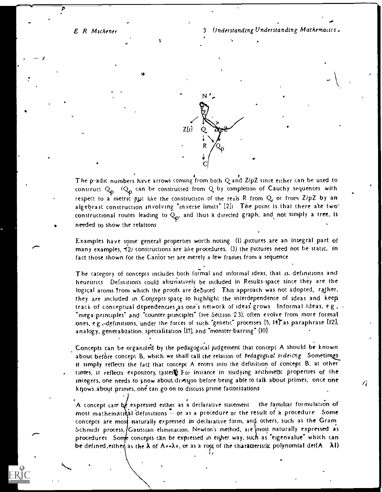E R Michener <sup>3</sup> Understanding Understanding Mathematics.



 $-1$ 

The p-adic numbers have arrows coming from both  $Q$  and Z/pZ since either can be used to construct  $\overline{\textbf{Q}}_0$  ( $\overline{\textbf{Q}}_0$  can be constructed from  $\overline{\textbf{Q}}$  by completion of Cauchy sequences with respect to a metric rist like the construction of the reals R from  $Q_i$  or from Z/pZ by an algebraic construction involving "inverse limits" [2]) The point is that there ake two! constructional routes leading to  $Q_0$ , and thus a directed graph, and not simply a tree, is needed to show the relattons

Examples have some general properties worth noting (I) pictures are an Integral part of many examples,  $(2)$  constructions are like procedures, (3) the pictures need not be static. In fact those shown for the Cantor set are merely a few frames from a sequence

The category of concepts includes both formal and informal ideas, that is, definitions and heuristics Definition's could alternatively be included In Results-space since they are the logical atoms from which the proofs are deduced This approach was not adopted, rather, they are included in Concepts-space to highlight the interdependence of ideas and keep track of conceptual dependencies as one's network of ideas grows Informal Ideas, e g,  $\sqrt{ }$ mega-principles" and "counter-principles" (see Section 23). often evolve from more formal ones, eg.-definitions, under the forces of such "genetic" processes [5, 14] as paraphrase [12], analogy, generalization, specialization  $[17]$ , and "monster-barring"  $[10]$ 

Concepts can be organized by the pedagogical judgement that concept A should be known about before concept B, which we shall call the relation of bedagogical ordering Sometimes it simply reflects the fact that concept A enters into the definition of concept B, at other times, it reflects expository, tastes For instance in studying arithmette properties of the integers, one needs to know about division before being able to talk about primes, once one  $\alpha$ knows, about primes, one can go on to discuss prime factorizations

A concept carr be expressed either as a declarative statement the familiar formulation of most mathematiqal definitions  $\mathbb{I}_1$  or as a procedure or the result of a procedure . Some concepts are most naturally expressed in declarative form, and others, such as the Gram  $\blacksquare$ Schmidt process, Gaussian elimination, Newton's method, aie most naturally expressed as procedures . Some concepts can be expressed in either way, such as "eigenvalue" which can be defined,either as the  $\lambda$  of Av= $\lambda$ v, or as a ro91 of the characteristic polynomial det(A =  $\lambda$ I) and  $\lambda$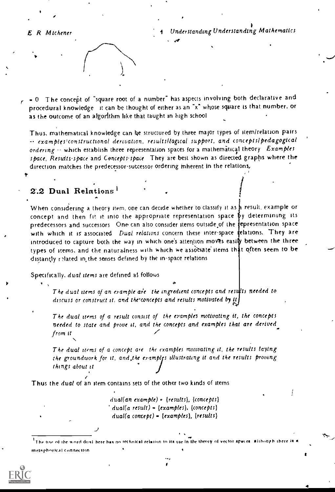I a strong the strong strong strong strong strong strong strong strong strong strong strong strong strong strong strong strong strong strong strong strong strong strong strong strong strong strong strong strong strong stro

4



- 0 The concept of "square root of a number" has aspects involving both declarative and procedural knowledge it can be thought of either as an "x" whose spiare is that number, or as the outcome of an algorithm like that taught in high school

Thus, mathematical knowledge can be structured by three major types of item/relation pairs -- examples/constructional derivation, results/logical support, and concepts/pedagogical ordering  $\cdots$  which establish three representation spaces for a mathematical theory Examples space, Resutts-space and Concepts-space. They are best shown as directed graphs where the direction matches the predecessor-successor ordering Inherent in the relations,

### 2'.2 Dual Relations I

When considering a theory item, one can decide whether to classify it as result, example or concept and then fit it into the appropriate representation space  $\mathbf{\hat{p}}\mathbf{y}$  determining its predecessors and successors One, can also consider items outside.of the epresentation space with which it is associated. *Dual relations* concern these inter-space felations. They are introduced to capture both the way in which one's attention moves easily between the three  $\sim$ types of items, and the naturalness with which we associate items that often seem to be  $\qquad$   $\,$ distantly r?lated in the senses defined by the in-space relations

Specifically, dual items are defined as follows.

The dual items of an example are the ingredient concepts and results needed to discuss or construct it, and the concepts and results motivated by it

The dual items of a result consist of the examples motivating it, the concepts needed to state and prove it, and the concepts and examples that are derived when from it

The dual items of a concept are the examples motivating it, the results laying the groundwork for it, and the examples illustrating it and the results proving things about it

Thus the dual of an item contains sets of the other two kinds of items

 $dual(an example) = {results}, {concepts}$  $dual(a result) = {examples}, {concepts}$  $dual(a \text{ concept}) = {examples}, {results}$ 

I The fise of the word dual here has no technical relation to its use in the theory of vector spaces, although there is Trieimphnil-cA1 corincolon

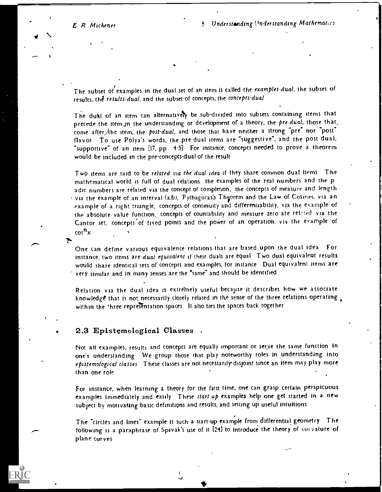$\begin{array}{ccc} & & & E K N \ \bigstar & & & \end{array}$ 

The subset of examples in the dual set of an item Is called the examples-dual, the subset of results, the results-dual, and the subset of concepts, the concepts-dual

The dual of an item can alternatively be sub-divided into subsets containing items that precede the item. in the understanding or development of a theory, the pre dual, those that, come after *Ahe item, the post-dual, and those that have neither a strong* "pre" nor "post" flavor To use Polya's words, the pre-dual items are "suggestive", and the post dual, "supportive" of an item (17. pp 4-5) For instance, concepts needed to prove a theorem would be Included in the pre-concepts-dual of the result

 $\cos^n x$ Two items are said to be related via the dual idea if they share common dual items. The mathematical world is full of dual relations the examples of the real numbers and the p adic numbers are related via the concept of completion, the concepts of measure and length  $\nu$  via the example of an interval (a,b), Pythagoras's Theorem and the Law of Cosines, via an example of a right triangle, concepts of continuity and differentiability, via the example of the absolute value function, concepts of countability and measure zero ate relied via the Cantor set, concepts of fixed points and the power of an operation, via the example of  $cos^n x$  '...

One can define various equivalence relations that are based upon the dual Idea For instance, two items are dual equivalent if their duals are equal Two dual equivalent results would share identical sets of concepts and examples, for instance Dual equivalent items are very similar and in many senses are the "same" and should be identified

Relation via the dual idea is extremely useful becapse it describes how we associate knowledge that is not necessarily closely related in the sense of the three relations operating within the three representation spaces. It also ties the spaces back together

### 2.3 Epistemological Classes .

Not all examples, results and concepts are equally important or serve the same function in one's understanding We group those that play noteworthy roles in understanding Into epistemological classes. These classes are not necessarily disjoint since an item may play more than one role

For instance, when learning a theory for the first time, one can grasp certain perspicuous examples Immediately and easily These start up examples help one get started in a new subject by motivating basic definitions and results, and setting up useful intuitions

The "circles and lines" example is such a start-up example from differential geometry The following is a paraphrase of Spivak's use of it [24] to introduce the theory of cui vature of plane curves

 $\blacklozenge$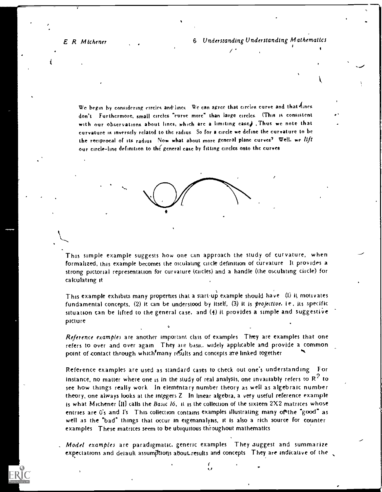$\mathcal{N}=\mathcal{N}$ 

 $\overline{\phantom{0}}$ 

We begin by considering circles and lines. We can agree that circles curve and that fines don't Furthermore, small circles "curve more" than large circles. (This is consistent with our observations about lines, which arc a limiting case, Thus we note that curvature is inversely related to the radius So for a circle we define the curvature to be the reciprocal of its radius Now what about more general plane curves? Well, we lift our circle-line definition to the general case by fitting circles onto the curves



This simple example suggests how one can approach the study of curvature, when formalized, this example becomes the osculating circle definition of curvature It provides a strong pictorial representation for curvature (circles) and a handle (the osculating clicle) for calculating it

This example exhibits many properties that a start-up example should have (I) IL motivates fundamental concepts. (2) it can be understood by itself, (3) it is projective, i.e., its specific situation can be lifted to the general case, and (4) it provides a simple and suggestive picture

Reference examples are another important class of examples. They are examples that one refers to over and over again They aie basic, widely applicable and provide a common point of contact through which many results and concepts are linked together

...

Reference examples are used as standard cases to check out one's understanding For Instance, no matter where one is in the study of real analysis, one invaiiably refers to  $R^2$  to see how things really work. In elementary number theory as well as algebraic number theory, one always looks at the integers Z In linear algebra, a very useful reference example is what Michener [II] calls the Basic 16, it is the collection of the sixteen  $2X2$  matrices whose entries are O's and I's This collection contains examples illustrating many of the "good" as well as the "bad" things that occur in eigenanalysis, it is also a rich source for counter examples These matrices seem to be ubiquitous throughout mathematics

Model examples are paradigmatic, generic examples They suggest and summarize expectations and default assumptions about results and concepts. They are indicative of the  $\zeta$ 

 $\epsilon$  and  $\epsilon$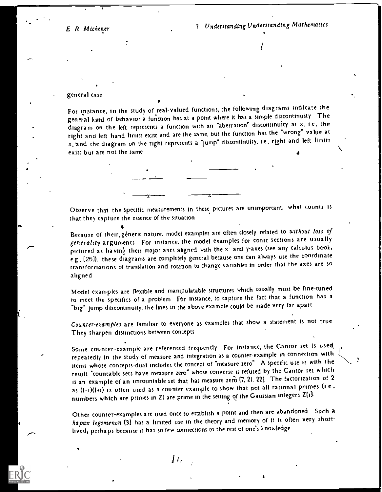E R Michener <sup>7</sup> Understanding Understanding Mathematics

### general case

For instance, in the study of real-valued functions, the following diagrams indicate the general kind of behavior a function has at a point where it has a simple discontinuity The diagram on the left represents a function with an "aberration" discontinuity at x, i e, the right and left hand limits exist and are the same, but the function has the "wrong" value at x, and the diagram on the right represents a "jump" discontinuity, i.e., right and left limits exist but are not the same

Observe that the specific measurements in these pictures are unimportant, what counts is that they capture the essence of the situation

 $\frac{1}{x}$  -  $\frac{1}{x}$ 

 $\mathbf{V}^{\text{max}}_{\text{max}}$ Because of their generic nature, model examples are often closely related to without loss of generality arguments For instance, the model examples for conic sections are usually pictured as having their major axes aligned with the x- and y-axes (see any calculus book. eg , [26)), these diagrams are completely general because one can always use the coordinate transformations of translation and rotation to change variables in order that the axes are so aligned

Model examples are flexible and manipulatable structures which usually must be fine-tuned to meet the specifics of a problem FOr instance, to capture the fact that a function has a "big" jump discontinuity, the lines in the above example could be made very far apart

Counter-examples are familiar to everyone as examples that show a statement is not true They sharpen distinctions between concepts

Some counter-example are referenced frequently For instance, the Cantor set is used repeatedly in the study of measure and Integration as a counter-example in connection with items whose concepts-dual includes the concept of "measure zero". A specific use is with the result "countable sets have measure zero" whose converse is refuted by the Cantor set which is an example of an uncountable set that has measure zero (7, 21, 221. The factorization of 2 as  $(I-1)(1+i)$  is often used as a counter-example to show that not all rational primes (i.e., numbers which are primes in Z) are prime in the setting of the Gaussian integers Z(il

Other counter-examples are used once to establish a point and then are abandoned Such a hapax legomenon [3] has a limited use in the theory and memory of it is often very shortlived, perhaps because it has so few connections to the rest of one's knowledge

I G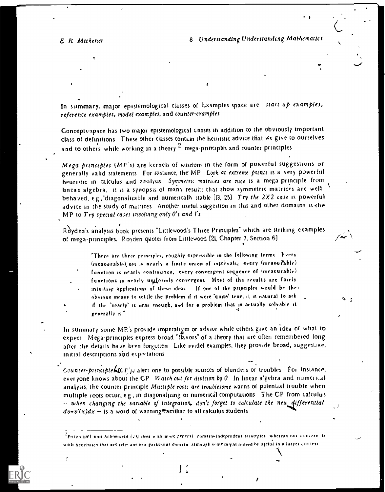$\mathcal{C}$  ,  $\mathcal{C}$ 

In summary, major epistemological classes of Examples-space are start up examples, reference examples, model examples, and counter-examples

Concepts-space has two major epistemological classes in addition to the obviously important class of definitions These other classes contain the heuristic advice that we give to ourselves and to others, while working in a theory  $^2$  mega-principles and counter principles

Mega principles (MP's) are kernels of wisdom an the form of powerful suggestions or generally valid statements. For instance, the MP Look at extreme points is a very powerful heuristic in calculus and analysis. Symmetric matrices are nice is a mega-principle from linear algebra, it is a synopsis of many results that show symmetric matrices are well behaved, eg, diagonalizable and numerically stable  $[13, 25]$  Try the 2X2 case is powerful advice in the study of matrices Another useful suggestion in this and other domains is-the MP to  $Try$  special cases involving only  $0$ 's and  $Is$ 1/4

Royden's analysis book presents "Littlewood's Three Principles" which are striking examples of mega-principles, Royden gwotes from Littlewood [21, Chapter 3, Section 6)

"There are three principles, roughly expressible in the following terms I very (measurable).sct Is nearly a finite union of in,te'rvals; every (mrassil'able) function is nearly continuous, every convergent sequence of (measurable). functions is nearly uniformly convergent. Most of the results are fairly intuitivr applications of these ideas If one of the pripciple; would be theobvious means to settle the problem if it were 'quite' true, it is natural to ask If the 'nearly' is nrar enough, and for a problem that is actually solvable it generally is"

In summary some MP's provide imperatives or advice while others give an idea of what to expect Mega-principles express broad "flavors" of a theory that are often remembered long after the details have been forgotten Like model examples, they provide broad, suggestive, initial descriptions and expectations.

Counter-principle  $\mathcal{L}(CP|s)$  alert one to possible sources of blunders or troubles for instance, ever yone knows about the CP Watch out for division by  $\theta$ . In linear algebra and numerical analysis, the counter-principle Multiple roots are troublesome warns of potential tiouble when multiple roots occur, eg, in diagonalizing or numerical computations The CP from calculus when changing the variable of integration, don't forget to calculate the new differential  $dv = v'(x)dx -$  is a word of warning familiar to all calculus students

 $^2$ poiya [16] and Schoenield [24] deal with more rencrai-domoin4Independent Airategies whereas our convern In with heurisiks 9 that art rete, ant to a particular domain alihough somt might indeed be upclul in a larger contest

 $1 \quad 1 \quad$ 

414111,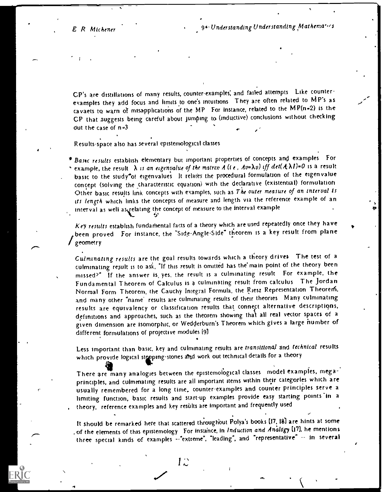E R Michener 1940 Understanding Understanding Mathematics

V

CP's are distillations of many results, counter-examples, and failed attempts Like counterexamples they add focus and limits to one's Intuitions They are often related to MP's as cavaets to warn of misapplications of the MP For instance, related to the MP(n-2) is the CP that suggests being careful about jumping to (inductive) conclusions without checking out the case of  $n=3$ 

Results-space also has several epistemological classes

\* Baste results establish elementary but important properties of concepts and examples For example, the result  $\lambda$  is an eigenvalue of the matrix  $\overline{A}$  (i.e.,  $Av=\lambda v$ ) iff det( $A_1\lambda I$ ]=0 is a result basic to the study<sup>+</sup>of eigenvalues It relates the procedural formulation of the eigenvalue concept (solving the characteristic equation) with the declarative (existential) formulation Other basic results link concepts with examples, such as The outer measure of an interval is its length which links the concepts of measure and length via the reference example of an interval as well as relating the concept of measure to the interval example

Key results establish fundamental facts of a theory which are used repeatedly once they have been proved For instance, the "Side-Angle-Side" theorem is a key result from plane / geometry

Culminating results are the goal results towards which a theory drives The test of a culminating result is to ask, "If this result Is omitted has the' main point of the theory been missed?" If the answer is yes, the result is a culminating result For example, the Fundamental Theorem of Calculus is a culminating result from calculus The Jordan Normal Form Theorem, the Cauchy Integral Formula, the Riesz Representation Theorem, and many other 'name' results are culminating results of their theories Many culminating results are equivalency or classification results that connect alternative descriptions, definitions and approaches, such as the theorem showing that all real vector spaces of a given dimension are isomorphic, or Wedderburn's Theorem which gives a large number of different formulations of projective modules [9]

Less important than basic, key and culminating results are transitional and technical results which provide logical stepping-stones and work out technical details for a theory

There are many analogies between the epistemological classes model examples, megaprinciples, and culminating results are all important items within their categories which are usually remembered for a long time, counter-examples and counter principles serve a limiting function, basic results and start-up examples provide easy starting points in a theory, reference examples and key results are important and frequently used

It should be remarked here that scattered throughout Polya's books [17, 18] are hints at some . of the elements of this epistemology For instance, in Induction and Analogy [17], he mentions three special kinds of examples --"extreme", "leading", and "representative" -- in several

 $12$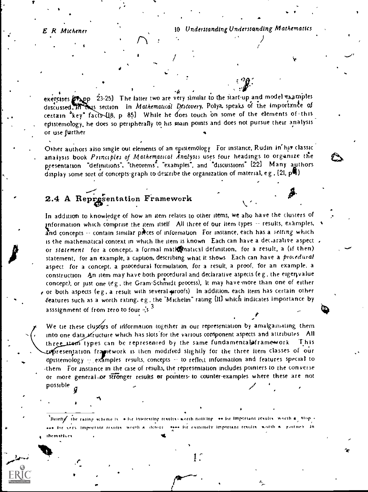4

t and the second second second in the second second second in the second second second in the second second second in  $\mathcal{L}_1$ 

 $\bullet$  is a set of  $\bullet$ 

es.

exercises (Fapp 23-25) The latter two are very similar to the start-up and model examples<br>discussed. In thus section In Mathematical Descovery, Polya speaks of the importance of<br>costain thou'l facib (18, p. 85), While he d discussed. In this section In Mathematical Descovery, Polya speaks of the Importance of certain key" facts (18, p 85) While he does touch on some of the elements of this epistemology, he does so peripherally to his main points and does not pursue their analysis or use further

Other authors also single out elements of an epistemology. For instance, Rudin in his classic analysis book Principles of Mathematical Analysis uses four headings to organize the presentation "definitions", "theorems", "examples", and "discussions" [22]. Many authors display some sort of concepts graph to describe the organization of material, eg,  $[2l, p\ddot{=}l]$ 

# 2.4 A Representation Framework

In addition to knowledge of how an item relates to other items, we also have the clusters of Information which comprise the item itself All three of our item types results, examples, and concepts  $\sim$  contain similar preces of information. For instance, each has a setting which is the mathematical context in which the item is known. Each can have a declarative aspect  $\beta$ or statement for a concept, a formal mationatical definition, for a result, a (if then) statement, for an example, a caption, describing what it shows. Each can have a procedural aspect for a concept, a procedural formulation, for a result, a proof, for an example, a construction An item may have both procedural and declarative aspects (e g, the eigegvalue concept//, or just one teg , the Gram-Schmidt process), It may have'more than one of either  $\epsilon$  or both aspects (eg, a result with several proofs). In addition, each item has certain other .features such as a worth rating, eg, the "Michelin" rating [ii) which indicates Importance by asssignment of from zero to four  $\sqrt{3}$ 

We tie these clusters of information together in our representation by amalgamating them into one data arructure which has slots for the various component aspects and attributes. All three them types can be represented by the same fundamental aframework. This referesentation framework is then modified slightly for the three item classes of our epistemology  $\pm$ , examples results, concepts  $\pm$  to reflect information and features special to -them For instance in the case of results, the representation includes pointers to the con vet se or more general or stronger results or pointers to counter-examples where these are not possible

Briefig. the rating scheme is on interesting results- worth noticing one for Important results, worth a stop i een for very important results, worth a detour seen for extremely important results, worth a sourney in thematives

l .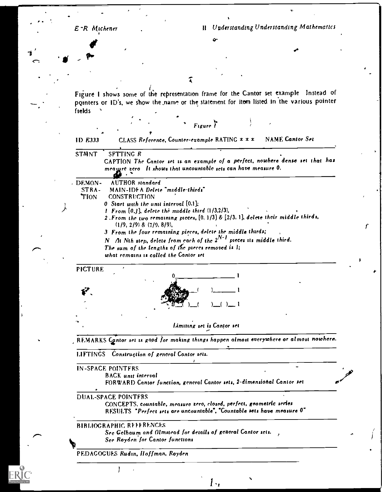II Understanding Understanding Mathematics

E -R Mtchener **I** 

 $\begin{array}{c} \mathbf{A} \\ \mathbf{A} \end{array}$ Figure I shows some of the representation frame for the Cantor set example Instead of pointers or ID's, we show the name or the statement for item listed in the various pointer fields >

o-

| meagure zero It shows that uncountable sets can have measure 0.<br><b>AUTHOR</b> standard<br>MAIN-IDFA Delete "middle-thirds"<br>STRA-<br>TION<br>CONSTRUCTION<br>0 Start with the unit interval $[0,1]$ ;<br>$1$ From $[0,1]$ , defete the middle third $(1/3,2/3)$ ,<br>2. From the two remaining pieces, $[0, 1/3]$ & $[2/3, 1]$ , delete their middle thirds,<br>$(1/9, 2/9)$ & $(7/9, 8/9)$ ,<br>3 From the four remaining pieces, delete the middle thirds;<br>N At Nth step, delete from each of the $2^{N-1}$ pieces its middle third.<br>The sum of the lengths of the pieces removed is 1;<br>what remains is called the Cantor set | ID <i>E333</i><br>STMNT | CLASS Reference, Counter-example RATING $* * *$<br>SPTTING R                  |
|-----------------------------------------------------------------------------------------------------------------------------------------------------------------------------------------------------------------------------------------------------------------------------------------------------------------------------------------------------------------------------------------------------------------------------------------------------------------------------------------------------------------------------------------------------------------------------------------------------------------------------------------------|-------------------------|-------------------------------------------------------------------------------|
| DEMON-                                                                                                                                                                                                                                                                                                                                                                                                                                                                                                                                                                                                                                        |                         | CAPTION The Cantor set is an example of a perfect, nowhere dense set that has |
|                                                                                                                                                                                                                                                                                                                                                                                                                                                                                                                                                                                                                                               |                         |                                                                               |
|                                                                                                                                                                                                                                                                                                                                                                                                                                                                                                                                                                                                                                               |                         |                                                                               |
|                                                                                                                                                                                                                                                                                                                                                                                                                                                                                                                                                                                                                                               |                         |                                                                               |
|                                                                                                                                                                                                                                                                                                                                                                                                                                                                                                                                                                                                                                               |                         |                                                                               |
|                                                                                                                                                                                                                                                                                                                                                                                                                                                                                                                                                                                                                                               |                         |                                                                               |
|                                                                                                                                                                                                                                                                                                                                                                                                                                                                                                                                                                                                                                               |                         |                                                                               |
|                                                                                                                                                                                                                                                                                                                                                                                                                                                                                                                                                                                                                                               |                         |                                                                               |
|                                                                                                                                                                                                                                                                                                                                                                                                                                                                                                                                                                                                                                               |                         |                                                                               |
|                                                                                                                                                                                                                                                                                                                                                                                                                                                                                                                                                                                                                                               |                         |                                                                               |
|                                                                                                                                                                                                                                                                                                                                                                                                                                                                                                                                                                                                                                               | <b>PICTURE</b>          |                                                                               |
|                                                                                                                                                                                                                                                                                                                                                                                                                                                                                                                                                                                                                                               |                         |                                                                               |

timittng set is Cantor set

 $)$ 

 $( )$  )  $= 1$ 

REMARKS Cantor set is good for making things happen almost everywhere or almost nowhere.

 $1\cdot$ 

LIFTINCS Construction of general Cantor sets.

| IN-SPACE POINTFRS                                                       |
|-------------------------------------------------------------------------|
| <b>BACK</b> unit interval                                               |
| FORWARD Cantor function, general Cantor sets, 2-dimensional Cantor set  |
|                                                                         |
| DUAL-SPACE POINTFRS                                                     |
| CONCEPTS, countable, measure zero, closed, perfect, geometric series    |
| RESULTS "Perfect sets are uncountable", "Countable sets have measure 0" |
|                                                                         |
| <b>BIBLIOGRAPHIC REFERENCES</b>                                         |
| See Gelbaum and Olmstead for details of general Cantor sets.            |

See Hoyden for Cantor functions

PEDAGOGUES Rudin, Hoffman, Royden

ł

ERIC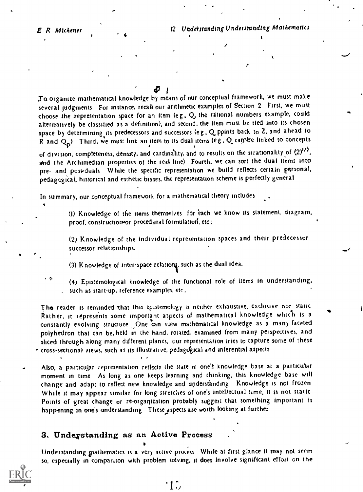47 To organize mathematical knowledge by means of our conceptual framework, we must make several judgments For instance. recall our arithmetic examples of S'ection 2 First, we must choose the representation space for an item (e g. Q, the rational numbers example, could alternatively be classified as a definition), and second. the item must be tied into Its chosen space by determining its predecessors and successors (e.g., Q, ppints back to  $Z$ , and ahead to R and  $Q_p$ ) Third, we must link an item to its dual items (e.g., Q can-be linked to concepts of division, completeness, density, and cardinality, and to results on the irrationality of  $(2)^{1/2}$ . and the Archimedian properties of the real line) Fourth, we can sort the dual items into pre- and post-duals While the specific representation we build reflects certain personal. pedagogical, historical and esthetic biases. the representation scheme is perfectly general

In summary, our conceptual framework for a mathematical theory includes

(I) Knowledge of the items themselves for each we know Its statement, diagram, proof, construction for procedural formulation, etc;

(2) Knowledge of the individual representation spaces and their predecessor successor relationships.

(3) Knowledge of inter-space relations, such as the dual idea.

 $\text{\textdegree}$  (4) Epistemological knowledge of the functional role of items in understanding, such as start-up. reference examples. etc,

The reader is reminded that this epistemology is neither exhaustive, exclusive nor static Rather, it represents some important aspects of mathematical knowledge which is a constantly evolving structure One can view mathematical knowledge as a many-faceted polyhedron that can be, held in the hand, rotated, examined from many perspectives, and sliced through along many different planes, our representation tries to capture some of these cross-sectional views, such aS its illustrative, pedagogical and inferential aspects

Also, a particular representation reflects the state of one's knowledge base at a particular moment in time As long as one keeps learning and thinking, this knowledge base will change and adapt to reflect new knowledge and updersianding Knowledge is not frozen While it may appear similar for long stretches of one's intellectual time, it is not static Points of great change or re-organization probably suggest that something important is happening in one's understanding These aspects are worth looking at further

**I** 

### 3. Undexstanding as an Active Process

Understanding grathematics is a very active process. While at first glance it may not seem so, especially in comparison with problem solving, it does involve significant effort on the

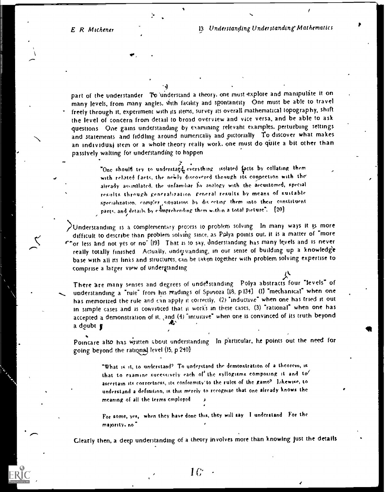part of the understander To 'understand a theory, one must-explore and manipulite it on many levels, from many angles, with facility and spontaneity One must be able to travel freely through it, experiment with its items, survey its overall mathematical topography, shift the level of concern from detail to broad overview and vice versa, and be able to ask questions One gains understanding by examining relevant examples, perturbing settings and statements and fiddling around numerically and pictorially To discover what makes an individual item or a whole theory really work, one must do quite a bit other than passively waiting for understanding to happen

 $\ddot{q}$ 

"One should try to understard everything isolated facts by collating them with related facts, the newly discovered through its conpection with the already assimilated, the unfamiliar by analogy with the accustomed, special results through generalization general results by means of suitable specialization, complex situations by disjecting them into their constituent parts, and details by edmprehending them within a total picture.  $[20]$ 

>Understanding is a complementary process to problem solving in many ways it is more difficult to describe than problem solving since, as Polya points out, it is a matter of "more  $e^{i\omega}$  or less and not yes or no" [19]. That is to say, dnderstanding has many levels and is never really totally finished. Actually, undepstanding, in our sense of building up a knowledge base with all its links and structures, can he taken together with problem solving expertise to comprise a larger view of underktanding

There are many senses and degrees of undefistanding Polya abstracts four "levels" of understanding a "rule" from his readings of Spinoza [18, p 134] (1) "mechanical" when one has memorized the rule and can apply it correctly, (2) 'inductive" when one has tried it out in simple cases and is convinced that it works in these cases, (3) "rational" when one has accepted a demonstration of it, and (4) "intuitive" when one is convinced of its truth beyond a doubt g

Poincare also has written sbout understanding. In particular, he points out the need for going beyond the rational level (15, p 240}

> "What is it, to understand? To understand the demonstration of a theorem, is that to examine succssively each of the syllogisms composing it and to ascertain its correctness, its conformity'to the rules of the game? Likewise, to understand a definition, is this Merely to recognize that one already knows the meaning of all the terms employed

> For some, yes, when they have done this, they will say I understand For the majority, no

Clearly then, a deep understanding of a theory involves more than knowing just the details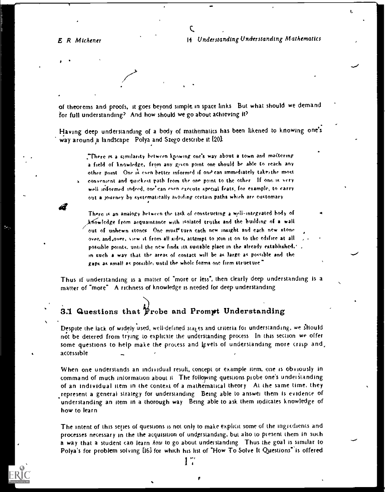E R Michener <sup>14</sup> Understanding Understanding Mathematics

I,

di

of theorems and proofs, it goes beyond simple. in space links But what should we demand for full understanding? And how should we go about achieving it

4

C.

a. ii.

/.

Having deep understanding of a body of mathematics has been likened to knowing one's way around a landscape Polya and Szego describe it [201

> There is a similarity between knowing one's way about a town and mactering a field of knowledge, from any given point one should be able to reach any other point. One is even better informed if ond can immediately takes the most convenient and quickest path from the one point to the other. If one is very well informed indeed, one'can even execute special feats, for example, to carry out a journey by systematically avoiding certain paths which are eustomary

out a journey by systematically avoiding cortain paths which are customary<br>There is an analogy between the task of constructing a well-integrated body of out of unhewn stones. One must turn each new insight and each new stone knowledge from acquaintance with isolated truths and the building of a wall over, and over, siew it from all sides, attempt to join it on to the edifice at all possible points, until the new finds att suitable place in the already established.' in such a way that the areas of contact will be ac large as possible and the gaps as small as possible, until the whole forms one firm structure."

Thus if understanding is a matter of "more or less", then clearly deep understanding is a matter of "more" A richness of knowledge is needed for deep understanding

# 3.1 Questions that  $\mathfrak{P}$ robe and Prompt Understanding

Despite the lack of widely used, well-defined stages and criteria for understanding, we should not be detered from trying to explicate the understanding process In this section we offer some questions to help make the process and levels of understanding more crisp and, accessible

When one understands an individual result, concept or example item, one is obviously in command of much information about it. The following questions probe one's understanding of an individual item in the context of a mathematical theory At the same time, they .represent a general strategy for understanding Being able to answer them is evidence of understanding an item in a thorough way Being able to ask them indicates knowledge of how to learn

The intent of this series of questions 15, not only to make explicit some of the ingredients and processes necessary in the the acquisition of understanding, but also to present them in such a way that a student can learn how to go about understanding Thus the goal is similar to Polya's for problem solving [16) for which his list of "How To Solve It Questions"'is offered

r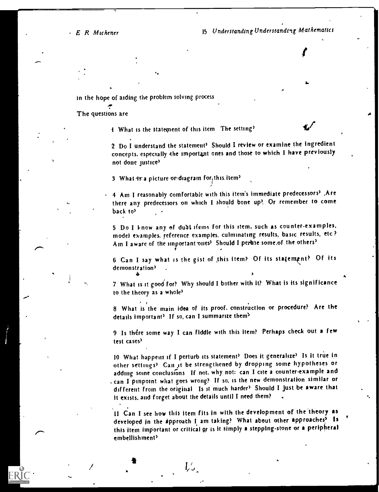$\mathcal{I}$ 

A

r.

in the hope of aiding the problem solving process

The questions are

Listen in the second

i What is the statement of this item The setting'

2 Do I understand the statement' Should I review or examine the ingredient concepts. especially 4he important ones and those to which I have previously not done Justice'

3 What is a picture or diagram for, this, item?

4 Am I reasonably comfortable with this item's immediate predecessors" ,Are there any predecessors on which I should bone up? Or remember to come back to?

5 Do I know any of dudt ifems for this item, such as counter-examples, model examples, reference examples, culminating results, basic results, etc ? Am I aware of the important ones' Should I perhise some, of the others'

6 Can I say what is the gist of this item? Of its statement? Of its demonstration'

7 What is it good for? Why should I bother with it? What is its significance to the theory as a whole'

8 What is the main idea of its proof, construction or procedure? Are the details important? If so, can I summarize them?

9 Is there some way I can fiddle with this item? Perhaps check out a few test cases'

10 What happens if I perturb its statement' Does it generalize' Is it true in other settings' Can it be strengthened by dropping some hypotheses or adding some conclusions If not, why not: can I cite a counter-example and . can I pinpoint what goes wrong? If so. is the new demonstration similar or different from the original Is it much harder' Should I just be aware that it exists, and forget about the details until I need them?

II Can I see how this item fits in with the development of the 'theory as developed in the *i*nproach I am taking? What about other approaches? Is this item important or critical or is it simply a stepping-stone or a peripheral embellishment"

1r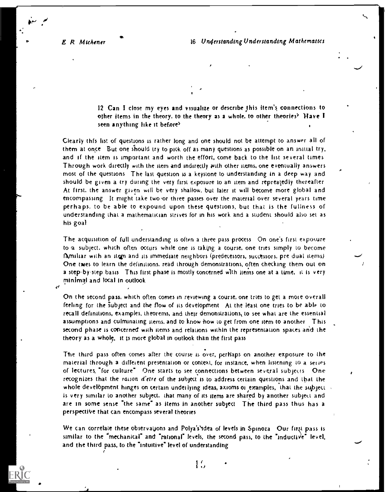$\downarrow$ 

)

12 Can I close my eyes and visualize or describe this item's connections to other items in the theory, to the theory as a whole. to other theories) Have I seen anything like it before)

 $\epsilon$ 

Clearly this list of questions is rather long and one should not be attempt to answer all of them at once. But one should try to pick off as many questions as possible on an initial try. and if the item is important and worth the effort, come back to the list several times Through work directly with the item and indirectly with other items, one eventually answers. most of the questions The last question is a keystone to understanding in a deep way and should be given a try during the very first exposure to an item and repreatedly thereafter At first, the answer given will be very shallow, but later it will become more global and encompassing It might take two.or three passes over the material over several years time perhaps, to be able to expound upon these questions, but that is the fullness of understanding that a mathematician strives for in his work and a student should also set as his goal

The acquisition of full understanding is often a three pass process On one's first exposure to a subject. which often occurs while one is taktpg a course, one tries simply to become familiar with an item and its immediate neighbors (predecessors, successors, pre dual items). One twes to learn the definitions, read through demonstrations, often checking them out on a step-by-step basis This first phase is mostly concerned with Items one at a time, it is very minimal and  $\delta$ **xal in outlook** 

el

:.0

On the second pass, which often comes in reviewing a course, one tries to gel a mole overall feeling for the subject and the flow of its development. At the least one tries to be able to recall definitions, examples, theorems, and their demonstrations, to see what are the essential assumptions and culminating items, and to know how to get from one item to another This second phase is concerned with items and relations within the representation spaces and the theory as a whole. it is more global in outlook than the first pass

Tfie third pass often comes after the course is over, perhaps on another exposure to the material through a diffeient presentation or context, for instance. when listening to a series of lectures. "for culture" One starts to see connections between several subjects One recognizes that the raison d'etre of the subject is to address certain questions and that the whole development hinges on certain undeilying ideas, axioms of examples, that the subject is very similar lo another subject. that many of its items are shared by another subject and are in some sense "the same" as items in another subject The third pass thus has a perspective that can encompass several theories

We can correlate these observations and Polya's'idea of levels in Spinoza. Our first pass is similar to the "mechanical" and "rational" levels, the second pass, to the "inductive" level. and the third pass, to the "intuitive" level of understanding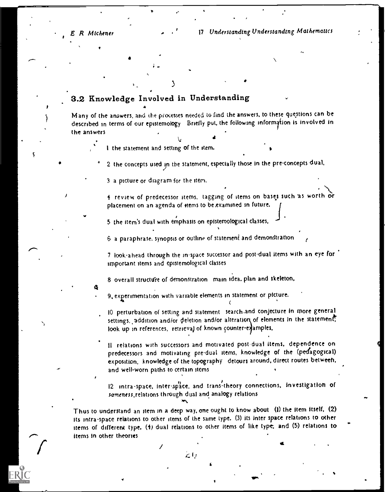### 3.2 Knowledge Involved in Understanding

a

Many of the answers, and the processes needed to find the answers, to these questions can be described in terms of our epistemology Briefly put, the following information is involved in the answers

 $\sim$  3  $\sim$  3  $\sim$ 

I the statement and setting of the item.

2 the concepts used in the statement, especially those in the pre-concepts dual,

3 a picture or diagram for the item.<br>4 review of predecessor items, tagging of items on bases such as worth or placement on an agenda of items to be,examined in future.

5 the item's dual with emphasis on epistemological classes,

 $6$  a paraphrase, synopsis or outline of statement and demonstration.

7 look-ahead through the in-space successor and post-dual items with an eye for  $\degree$ important items and epistemological classes

8 overall structure of demonstration main idea. plan and skeleton,

 $\mathbf{1}$ 

9, exgerimentation with variable elements in statement or picture.

10 perturbation of setting and statement search and conjecture In more general settings, , addition and/or deletion and/or alteration of elements in the statement, look up in references, retrieval of known counter-examples,

 $\langle$ 

II relations with successors and motivated post dual items, dependence on predecessors and motivating pre-dual items, knowledge of the (pedagogical) exposition, knowledge of the topography detours around, direct routes between, and well-worn paths to certain items

i2 intra-space, inter-space, and trans-theory connections, investigation of sameness, relations through dual and analogy relations

'Ow

Thus to understand an item in a deep way, one ought to know about (I) the item itself, (2) its intra-space relations to other items of the same type. (3) its inter space relations to other items of different type, (4) dual relations to other items of like type; and (5) relations to items in other theories

راح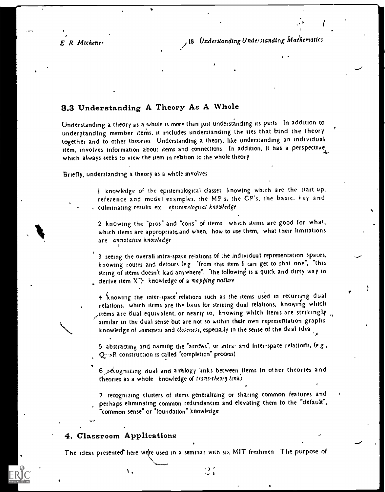E R Michener

/ 18 Understanding Understanding Mathematics

 $\mathbb{R}^2 \times I$ 

r

 $\mathbf{r}$  )

# 3.3 Understanding A Theory As A Whole

i,

Understanding a theory as a 'whole is more than Just understanding its parts In addition to understanding member items. it includes understanding the ties that bind the theory together and to other theories Understanding a theory, like understanding an individual item, involves information about items and connections. In addition, it has a perspective, which always seeks to view the item in relation to the whole theory

Briefly, understanding a theory as a whole involves

 $\mathbf{A} = \mathbf{A} \mathbf{A}$ 

<sup>I</sup> knowledge of the epistemological classes knowing which are the start up, reference and model examples, the MP's, the CP's, the basic, key and  $\epsilon = \sqrt{2}$ . culminating results etc epistemological knowledge

 $\mathbf{I} = \{I_1, \ldots, I_n\}$ 

2 knowing the "pros" and "cons" of items which items are good for what, which items are appropriate, and when, how to use them, what their limitations are annotative knowledge

3 seeing the overall intra-space relations of the Individual representation spaces, knowing routes and detours (eg "from this Item I can get to that one", "this string of items doesn't lead anywhere", "the following is a quick and dirty way to derive item  $X^*$ )- knowledge of a mapping nature

similar in the dual sense out are not so whilm that only representation graphic<br>knowledge of sameness and closeness, especially in the sense of the dual idea 4 (knowing the inter-space relations such as the items used in recurring dual relations, which items are the basis for striking dual relations, knowing which Items are dual equivalent, or nearly so, knowing which items are strikingly  $\mu$ similar in the dual sense but are not so within their own representation graphs ".,6

> 5 abstracting and naming the "arrdvs". or intra- and inter-space relations, (e g , Q-->R construction is called "completion" process)

> 6 recognizing dual and analogy links between items in other theories and theories as a whole knowledge of transtheory links

> 7 recognizing clusters of items generalizing or sharing common features and perhaps eliminating common redundancies and elevating them to the "default", "common sense" or "foundation" knowledge )

> > $21$

# 4. Classroom Applications

١.

i i s

The ideas presented here were used in a seminar with six MIT freshmen. The purpose of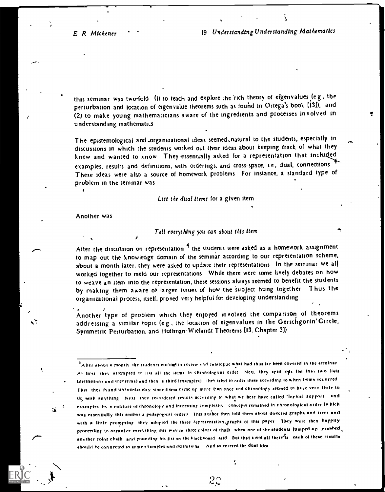this seminar was two-fold (I) to teach and explore the rich theory of efgenvalues (e.g., the perturbation and location of eigenvalue theorems such as found in Ortega's book (13)), and (2) to make young mathematicians aware of the ingredients and processes involved in understanding mathematics

The epistemological and corganizational ideas seemed, natural to the students, especially in discussions in which the students worked out their ideas about keeping (rack of what they knew and wanted to know They essentially asked for a representation that included examples, results and definitions, with orderings, and cross-space, ie, dual, connections These ideas were also a source of homework problems For instance, a standard type of problem in the seminar was

#### List the dual Items for a given item

Another was

Ó.

### Tell everything you can about this item

After the discussion on representation <sup>4</sup> the students were asked as a homework assignment to map out the knowledge domain of the seminar according to our representation scheme, about a month later, they were asked to update their representations In the seminar we all workgd together to meld our representations While there were some lively debates on how to weave an item into the representation, these sessions always seemed to benefit the students by making them aware of larger issues of how the 'subject hung together Thus the organizational process, itself, proved very helpful for developing understanding

Another type of problem which they enjoyed involved the comparison of theorems addressing a similar topic (e g , the location of eigenvalues In the Gerschgorin'Circle, Symmetric Perturbation, and Hoffman-Wielandt Theorems [13, Chapter 3])

 $2\mathcal{Z}$ 

<sup>&</sup>lt;sup>4</sup> After about a month the students wanted to review and catalogue what had thus far been covered in the seminar At first they attempted to Ilsi all the items in chronological order. Next, they aplit this Ilsi Into two Ilsia (definitions and theorems) and thin a third (examples) - they tried to order these according to when Items occurred This they found unxatisfactory since items came up more than once and chronology seemed to have very little to dq with anything. Next they re-ordered results according to what we here have called 'logical aupport' and esamples. by a mixture of chronotory and increasing complexity concepts remained in chronological order (which was easentially this anthor s pedagogical order) This author then bold them about directed graphs and litres and with a little prompting they adopted the three fepreseniation graphs of this paper. They were then happily proceeding to organize everything this way in three colors of chalk when one of the students jumped up grabhed, another color chalk and rounding his fist on the blackboard said But that a not elf there la each of these results should be connected to some examples and definitions. And so entered the dual idea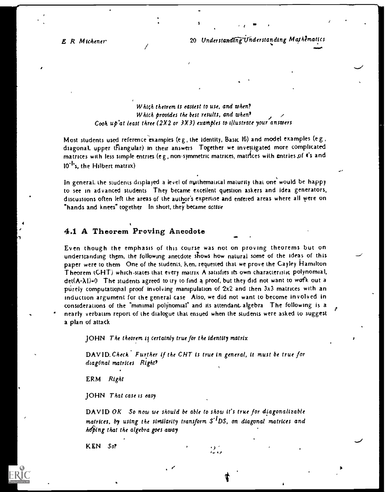4

5

t

E R Michener 20 Understanding Understanding Mathematics 1986.

44....

 $\overline{\phantom{0}}$ 

 $\mathbf{P}$  and  $\mathbf{P}$ 

### Which theorem is easiest to use, and when? Which provides the best results, and when? Cook up at least three  $(2X2$  or  $3X3)$  examples to illustrate your answers

Most students used reference'examples (e g , the identity, Basic IS) and model examples (e g , diagonal. upper thangular) in their answers Together we investigated more complicated matrices with less simple entries (eg, non-symmetric matrices, matrices with entries of t's and 10<sup>-1</sup>'s, the Hilbert matrix)

In general, the students displayed a level of mathematical maturity that one would be happy to see in advanced students They became excellent question askers and idea generators, discussions often left the areas of the author's expertise and entered areas where all were on "hands and knees" together In short, they became active

### 4.1 A Theorem Proving Anecdote

Even though the emphasis of this course was not on proving theorems but on understanding them, the following anecdote shows how natural some of the ideas of this paper were to them One of the students. ken, requested that we prove the Cayley Hamilton Theorem tCHT) which-states that every matrix A satisfies its own characteristic polynomial,  $det(A<sub>1</sub>AI)=0$  . The students agreed to try to find a proof, but they did not want to work out a purely computational proof involving manipulation of 2x2 and then 3x3 matrices with an induction argument for the general case Also, we did not want to become involved in considerations of the "minimal polynomial" and its attendant. algebra The following is a nearly verbatim report of the dialogue that ensued when the students were asked to suggest a plan of attack

...

JOHN The theorem is certainly true for the identity matrix

DAVID. Check Further if the CHT is true in general, it must be true for diagonal matrices Right?

ERM Right

JOHN That case is easy

1..

DAVID OK So now we should be able to show it's true for diagonalizable matrices, by using the similarity transform  $S<sup>T</sup>DS$ , on diagonal matrices and hoping that the algebra goes away

 $\frac{1}{2}$ 

 $f(x) = \frac{1}{2} \int_{0}^{1} \frac{1}{x^2} \, dx$ 

4

KEN So?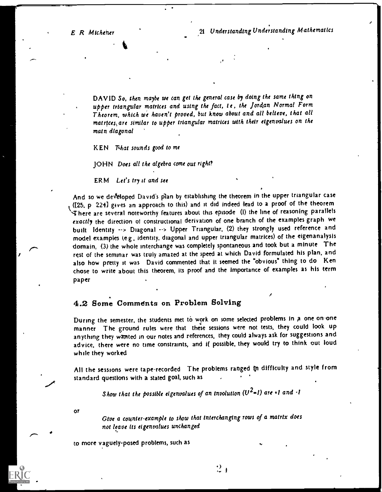E R Michener

/

DAVID So, then maybe we can get the general case by doing the same thing on upper triangular matrices and using the fact, i.e., the Jordan Normal Form Theorem, which we haven't proved, but know about and all believe, that all matrices, are similar to upper triangular matrices with their eigenvalues on the main diagonal

KEN That sounds good to me

tii

JOHN Does all the algebra come out right?

ER M Let's try it and see

And so we developed David's plan by establishing the theorem in the upper triangular case ((25 p 224) gives an approach to this) and it did indeed lead to a proof of the theorem `There are several noteworthy features about this episode (I) the line of reasoning parallels exactly the direction of constructional derivation of one branch of the examples graph we built Identity --> Diagonal --> Upper Triangular, (2) they strongly used reference and model examples teg, identity, diagonal and upper triangular matrices) of the eigenanalysis domain, (3) the whole interchange was completely spontaneous and took but a minute The rest of the seminar was truly amazed at the speed at which David formulated his plan, and also how pretty it was David commented that it seemed the "obvious" thing to do Ken chose to write about this theorem, its proof and the Importance of examples as his term paper

### 4.2 Some Commdnts on Problem Solving

During the semester, the students met to work on some selected problems in a one on-one manner The ground rules were that these sessions were not tests, they could look up anything they wanted in our notes and references, they could always ask for suggestions and advice, there were no time constraints, and if possible, they would try to think out loud while they worked

All the sessions were tape-recorded The problems ranged in difficulty and style from standard questions with a stated goal, such as

Show that the possible eigenvalues of an involution  $(U^2-1)$  are  $+1$  and  $+1$ 

07

 $\mathbf{r}$ 

.....0....

Give a counter-example to show that interchanging rows of a matrix does not leave its elgenvalues unchanged

to more vaguely-posed problems, such as

.,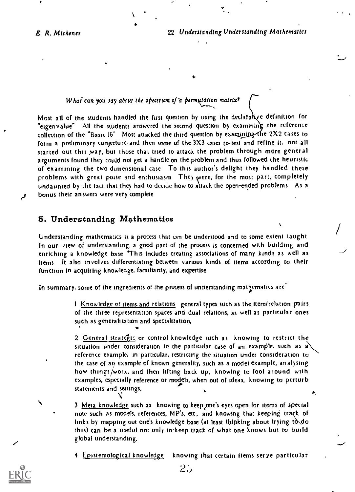What can you say about the spectrum of a permutation matrix?

 $\blacksquare$ 

tD bonus their answers were very complete Most all of the students handled the first question by using the declara live definition for "etgenvalue" All the students answered the second question by examining the reference collection of the "Basic 16" Most attacked the third question by examining the 2X2 cases to form a preliminary conjecture-and then some of the 3X3 cases to-test and reffne it. not all started out this way, but those that tried to attack the problem through more general arguments found they could not get a handle on the problem and thus followed the heuristic of examining the two dimensional case To this author's delight they handled these problems with great poise and enthusiasm They were, for the most part, completely undaunted by the fact that they had to decide how to attack the open-ended problems. As a

### 5. Understanding Mathematics

Understanding mathematics Is a process that can be understood and to some extent taught In our view of understanding, a good part of the process is concerned with building and enriching a knowledge base This Includes creating associations of many kinds as well as items It also involves differentiating between various kinds of items according to their function in acquiring knowledge. familiarity, and expertise

In summary, some of the ingredients of the process of understanding mathematics are-

I Knowledge of items and relations general types such as the item/relation pairs of the three representation spaces and dual relations, as well as particular ones such as generalization and specialization,

2 General strategic or control knowledge such as knowing to restrict the situation under consideration to the particular case of an example, such as a reference example, in particular, restricting the situation under consideration to the case of an example of known generality, such as a model example, analysing how things /work, and then lifting back up, knowing to fool around with examples, especially reference or models, when out of Ideas, knowing to perturb statements and settings,

3 Meta knowledge such as knowing to keep one's eyes open for items of special note such as models, references, MP's, etc, and knowing that keeping track of links by mapping out one's knowledge base (at least thinking about trying to do this) can be a useful not only to-keep track of what one knows but to build global understanding,

4 Epistemological knowledge knowing that certain items serye particular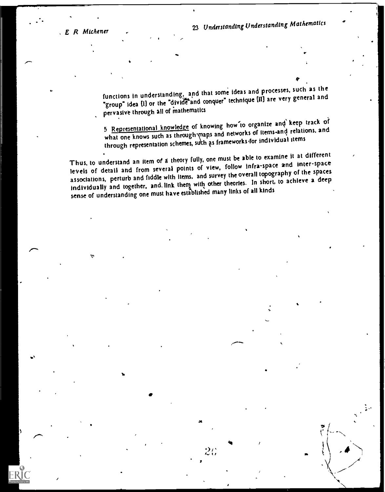ERIC

ti

functions in understanding, and that some ideas and processes, such as the "group" idea [i] or the "divide and conquer" technique [ii] are very general and pervasive through all of mathematics

5 Representational knowledge of knowing how to organize and keep track of what one knows such as through maps and networks of items-and relations, and through representation schemes, such as frameworks for individual items

Thus, to understand an item of a theory fully, one must be able to examine it at different levels of detail and from several points of view, follow infra-space and inter-space associations, perturb and fiddle with items, and survey the overall topography of the spaces individually and together, and link them with other theories. In short, to achieve a deep sense of understanding one must have established many links of all kinds

20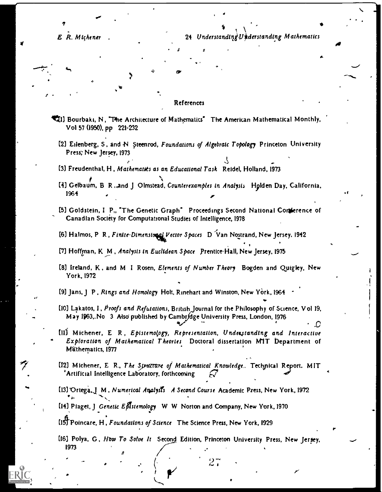$\sim$ 

 $\mathcal{L}(\mathcal{L})$ 

 $\overline{a}$ 

vr#

el

\*

 $E$  R. Michener . 24 Understanding Understanding Mathematics

 $\mathbf{r}$  ,  $\mathbf{r}$ 

 $\mathbf{A}$  , and  $\mathbf{A}$ 

 $\mathcal{L} = \frac{1}{\sqrt{2}} \sum_{i=1}^{n} \frac{1}{i} \sum_{j=1}^{n} \frac{1}{j} \sum_{j=1}^{n} \frac{1}{j} \sum_{j=1}^{n} \frac{1}{j} \sum_{j=1}^{n} \frac{1}{j} \sum_{j=1}^{n} \frac{1}{j} \sum_{j=1}^{n} \frac{1}{j} \sum_{j=1}^{n} \frac{1}{j} \sum_{j=1}^{n} \frac{1}{j} \sum_{j=1}^{n} \frac{1}{j} \sum_{j=1}^{n} \frac{1}{j} \sum_{j=1}^{n} \frac{1}{j$ 

. Since the same in the same in the same in the same in the same in the same in the same in the same in the same in the same in the same in the same in the same in the same in the same in the same in the same in the same

. ....el

 $\sim$  .

ot

'".....

.r

..........

A Service State

4

P'

 $\epsilon$ 

### References

- 1U Bourbaki, N, -Pile Architecture of Mathematics' The American Mathematical Monthly, Vol 57 (1950), pp 221-232
	- [2] Eilenberg, S, and  $N$  Steenrod, Foundations of Algebraic Topology Princeton University Press; New Jersey, 1973

[3] Freudenthal, H, Mathematits as an Educational Task Reidel, Holland, 1973

- e and the second the second term of the second term of the second term of the second of the second of the Second Second Second Seconds (4) Gelbaum, B R . and J Olmstead, Counterexamples in Analysis Holden Day, California, <sup>1964</sup> , I'
- [5] Goldstein, I P., "The Genetic Graph" Proceedings Second National Conterence of Canadian Society for Computational Studies of Intelligence, 1978

[6] Halmos, P R, Finite-Dimensional Vector Spaces  $\overline{D}$  Van Nostrand, New Jersey, 1942

[7] Hoffman, K M, Analysis in Euclidean Space Prentice-Hall, New Jersey, 1975

[8] Ireland, K , and M 1 Rosen, Elements of Number Theory Bogden and Quigley, New York, 1972

[9] Jans, J P , Rings and Homology Holt, Rinehart and Winston, New York, 1964

- [10] Lakatos, I, Proofs and Refutations, British Journal for the Philosophy of Science, Vol 19, May 1963, No 3 Also published by Cambridge University Press, London, 1976
- 40.." , .0 (111 Michener, E R , Epistemoogy, Representation, Undekstanding and Interactive Exploration of Mathematical Theories Doctoral dissertation MIT Department of Mathematics, 1977
- [12] Michener, E. R., The Synature of Mathematical Knowledge.. Technical Report. MIT \*Artificial Intelligence Laboratory, forthcoming

[13] Ortega., J. M., Numerical Analysts A Second Course Academic Press, New York, 1972  $\bullet_p$ ,  $\bullet_{p}$ ,  $\bullet_{p}$ [14] Piaget, J Genetic Epistemology W W Norton and Company, New York, 1970

[15] Poincare, H, Foundations of Science The Science Press, New York, 1929

 $\boldsymbol{x}$ 

[16] Polya, G, How To Solve It Second Edition, Princeton University Press, New Jersey, 1973 . The set of  $\overline{a}$  is the set of  $\overline{a}$ .